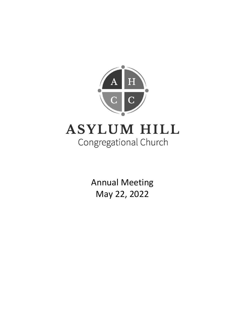

Annual Meeting May 22, 2022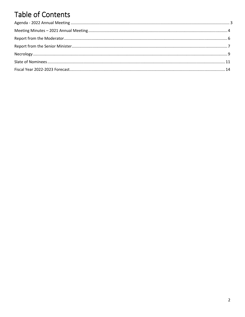# Table of Contents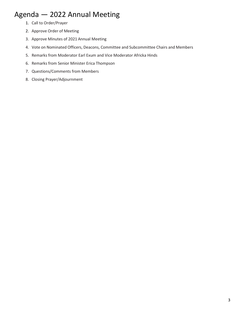## Agenda — 2022 Annual Meeting

- 1. Call to Order/Prayer
- 2. Approve Order of Meeting
- 3. Approve Minutes of 2021 Annual Meeting
- 4. Vote on Nominated Officers, Deacons, Committee and Subcommittee Chairs and Members
- 5. Remarks from Moderator Earl Exum and Vice Moderator Africka Hinds
- 6. Remarks from Senior Minister Erica Thompson
- 7. Questions/Comments from Members
- 8. Closing Prayer/Adjournment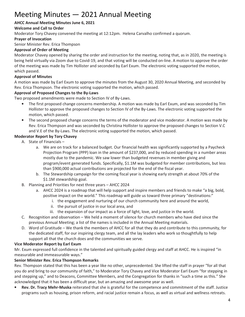# Meeting Minutes — 2021 Annual Meeting

#### **AHCC Annual Meeting Minutes June 6, 2021**

#### **Welcome and Call to Order**

Moderator Tory Chavey convened the meeting at 12:12pm. Helena Carvalho confirmed a quorum.

#### **Prayer of Invocation**

Senior Minister Rev. Erica Thompson

#### **Approval of Order of Meeting**

Moderator Chavey opened by sharing the order and instruction for the meeting, noting that, as in 2020, the meeting is being held virtually via Zoom due to Covid-19, and that voting will be conducted on-line. A motion to approve the order of the meeting was made by Tim Hollister and seconded by Earl Exum. The electronic voting supported the motion, which passed.

#### **Approval of Minutes**

A motion was made by Earl Exum to approve the minutes from the August 30, 2020 Annual Meeting, and seconded by Rev. Erica Thompson. The electronic voting supported the motion, which passed.

#### **Approval of Proposed Changes to the By-Laws**

Two proposed amendments were made to Section IV of By-Laws.

- The first proposed change concerns membership. A motion was made by Earl Exum, and was seconded by Tim Hollister to approve the proposed changes to Section IV of the By-Laws. The electronic voting supported the motion, which passed.
- The second proposed change concerns the terms of the moderator and vice moderator. A motion was made by Rev. Erica Thompson and was seconded by Christina Hollister to approve the proposed changes to Section V.C and V.E of the By-Laws. The electronic voting supported the motion, which passed.

#### **Moderator Report by Tory Chavey**

- A. State of Financials
	- a. We are on track for a balanced budget. Our financial health was significantly supported by a Paycheck Projection Program (PPP) loan in the amount of \$237,000, and by reduced spending in a number areas mostly due to the pandemic. We saw lower than budgeted revenues in member giving and program/event generated funds. Specifically, \$1.1M was budgeted for member contributions, but less than \$900,000 actual contributions are projected for the end of the fiscal year.
	- b. The Stewardship campaign for the coming fiscal year is showing early strength at about 70% of the \$1.1M stewardship goal.
- B. Planning and Priorities for next three years AHCC 2024
	- a. AHCC 2024 is a roadmap that will help support and inspire members and friends to make "a big, bold, positive impact on the world." This roadmap will guide us toward three primary "destinations:"
		- i. the engagement and nurturing of our church community here and around the world,
		- ii. the pursuit of justice in our local area, and
		- iii. the expansion of our impact as a force of light, love, and justice in the world.
- C. Recognition and observation We held a moment of silence for church members who have died since the previous Annual Meeting; a list of the names is included in the Annual Meeting materials.
- D. Word of Gratitude We thank the members of AHCC for all that they do and contribute to this community, for the dedicated staff, for our inspiring clergy team, and all the lay leaders who work so thoughtfully to help support all that the church does and the communities we serve.

#### **Vice Moderator Report by Earl Exum**

Mr. Exum expressed full confidence in the talented and spiritually guided clergy and staff at AHCC. He is inspired "in measurable and immeasurable ways."

#### **Senior Minister Rev. Erica Thompson Remarks**

Rev. Thompson stated that this has been a year like no other, unprecedented. She lifted the staff in prayer "for all that you do and bring to our community of faith," to Moderator Tory Chavey and Vice Moderator Earl Exum "for stepping in and stepping up," and to Deacons, Committee Members, and the Congregation for thanks in "such a time as this." She acknowledged that it has been a difficult year, but an amazing and awesome year as well.

• **Rev. Dr. Tracy Mehr-Muska** reiterated that she is grateful for the competence and commitment of the staff. Justice programs such as housing, prison reform, and racial justice remain a focus, as well as virtual and wellness retreats.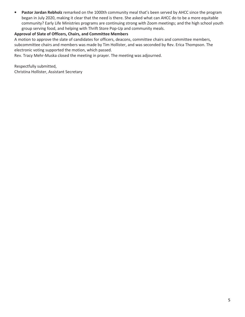• **Pastor Jordan Rebholz** remarked on the 1000th community meal that's been served by AHCC since the program began in July 2020, making it clear that the need is there. She asked what can AHCC do to be a more equitable community? Early Life Ministries programs are continuing strong with Zoom meetings; and the high school youth group serving food, and helping with Thrift Store Pop-Up and community meals.

#### **Approval of Slate of Officers, Chairs, and Committee Members**

A motion to approve the slate of candidates for officers, deacons, committee chairs and committee members, subcommittee chairs and members was made by Tim Hollister, and was seconded by Rev. Erica Thompson. The electronic voting supported the motion, which passed.

Rev. Tracy Mehr-Muska closed the meeting in prayer. The meeting was adjourned.

Respectfully submitted, Christina Hollister, Assistant Secretary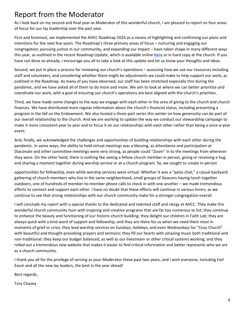## Report from the Moderator

As I look back on my second and final year as Moderator of this wonderful church, I am pleased to report on four areas of focus for our lay leadership over the past year.

First and foremost, we implemented the AHCC Roadmap 2024 as a means of highlighting and confirming our plans and intentions for the next few years. The Roadmap's three primary areas of focus – nurturing and engaging our congregation, pursuing justice in our community, and expanding our impact – have taken shape in many different ways this year, as outlined in the recent Roadmap Update, which is available online **[here](https://www.ahcc.org/ahcc-roadmap-2024-update/)** or in hard copy at the church. If you have not done so already, I encourage you all to take a look at this update and let us know your thoughts and ideas.

Second, we put in place a process for reviewing our church's operations – assessing how we use our resources including staff and volunteers, and considering whether there might be adjustments we could make to help support our work, as outlined in the Roadmap. As many of you have observed, our staff has been stretched especially thin during the pandemic, and we have asked all of them to do more and more. We aim to look at where we can better prioritize and coordinate our work, with a goal of ensuring our church's operations are best aligned with the church's priorities.

Third, we have made some changes to the way we engage with each other in the area of giving to the church and church finances. We have distributed more regular information about the church's financial status, including presenting a program in the fall on the Endowment. We also hosted a three-part series this winter on how generosity can be part of our overall relationship to the church. And we are working to update the way we conduct our stewardship campaign to make it more consistent year to year and to focus it on our relationships with each other rather than being a once-a-year event.

And, finally, we acknowledged the challenges and opportunities of building relationships with each other during the pandemic. In some ways, the ability to hold virtual meetings was a blessing, as attendance and participation at Diaconate and other committee meetings were very strong, as people could "Zoom" in to the meetings from wherever they were. On the other hand, there is nothing like seeing a fellow church member in person, giving or receiving a hug, and sharing a moment together during worship service or at a church program. So, we sought to create in-person

opportunities for fellowship, even while worship services were virtual. Whether it was a "patio chat," a casual backyard gathering of church members who live in the same neighborhood, small groups of Deacons having lunch together outdoors, one of hundreds of member-to-member phone calls to check in with one another – we made tremendous efforts to connect and support each other. I have no doubt that these efforts will continue in various forms, as we continue to see that strong relationships with our church community make for a stronger congregation overall.

I will conclude my report with a special thanks to the dedicated and talented staff and clergy at AHCC. They make this wonderful church community hum with inspiring and creative programs that are far too numerous to list; they continue to enhance the beauty and functioning of our historic church building; they delight our children in Faith Lab; they are always quick with a kind word of support and fellowship, and they are there for us when we need them most in moments of grief or crisis; they lead worship services on Sundays, holidays, and even Wednesdays for "Cozy Church" with beautiful and thought-provoking prayers and sermons; they fill our hearts with amazing music both traditional and non-traditional; they keep our budget balanced, as well as our livestream or other critical systems working; and they rolled out a tremendous new website that makes it easier to find critical information and better represents who we are as a church community.

I thank you all for the privilege of serving as your Moderator these past two years, and I wish everyone, including Earl Exum and all the new lay leaders, the best in the year ahead!

Best regards,

Tory Chavey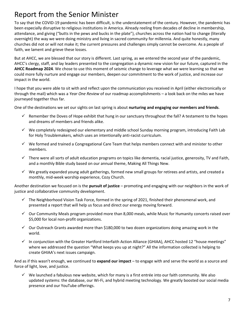## Report from the Senior Minister

To say that the COVID-19 pandemic has been difficult, is the understatement of the century. However, the pandemic has been especially disruptive to religious institutions in America. Already reeling from decades of decline in membership, attendance, and giving ("butts in the pews and bucks in the plate"), churches across the nation had to change (literally overnight) the way we were doing ministry and living in sacred community for millennia. And quite honestly, many churches did not or will not make it; the current pressures and challenges simply cannot be overcome. As a people of faith, we lament and grieve these losses.

But at AHCC, we are blessed that our story is different. Last spring, as we entered the second year of the pandemic, AHCC's clergy, staff, and lay leaders presented to the congregation a dynamic new vision for our future, captured in the **AHCC Roadmap 2024**. We chose to use this moment of seismic change to leverage what we were learning so that we could more fully nurture and engage our members, deepen our commitment to the work of justice, and increase our impact in the world.

I hope that you were able to sit with and reflect upon the communication you received in April (either electronically or through the mail) which was a *Year One Review* of our roadmap accomplishments – a look back on the miles we have journeyed together thus far.

One of the destinations we set our sights on last spring is about **nurturing and engaging our members and friends**.

- $\checkmark$  Remember the Doves of Hope exhibit that hung in our sanctuary throughout the fall? A testament to the hopes and dreams of members and friends alike.
- $\checkmark$  We completely redesigned our elementary and middle school Sunday morning program, introducing Faith Lab for Holy Troublemakers, which uses an intentionally anti-racist curriculum.
- $\checkmark$  We formed and trained a Congregational Care Team that helps members connect with and minister to other members.
- $\checkmark$  There were all sorts of adult education programs on topics like dementia, racial justice, generosity, TV and Faith, and a monthly Bible study based on our annual theme, Making All Things New.
- $\checkmark$  We greatly expanded young adult gatherings, formed new small groups for retirees and artists, and created a monthly, mid-week worship experience, Cozy Church.

Another destination we focused on is the **pursuit of justice** – promoting and engaging with our neighbors in the work of justice and collaborative community development.

- $\checkmark$  The Neighborhood Vision Task Force, formed in the spring of 2021, finished their phenomenal work, and presented a report that will help us focus and direct our energy moving forward.
- $\checkmark$  Our Community Meals program provided more than 8,000 meals, while Music for Humanity concerts raised over \$5,000 for local non-profit organizations.
- $\checkmark$  Our Outreach Grants awarded more than \$180,000 to two dozen organizations doing amazing work in the world.
- $\checkmark$  In conjunction with the Greater Hartford Interfaith Action Alliance (GHIAA), AHCC hosted 12 "house meetings" where we addressed the question "What keeps you up at night?" All the information collected is helping to create GHIAA's next issues campaign.

And as if this wasn't enough, we continued to **expand our impact** – to engage with and serve the world as a source and force of light, love, and justice.

 $\checkmark$  We launched a fabulous new website, which for many is a first entrée into our faith community. We also updated systems: the database, our Wi-Fi, and hybrid meeting technology. We greatly boosted our social media presence and our YouTube offerings.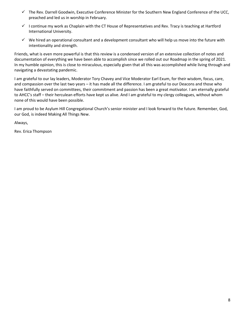- The Rev. Darrell Goodwin, Executive Conference Minister for the Southern New England Conference of the UCC, preached and led us in worship in February.
- $\checkmark$  I continue my work as Chaplain with the CT House of Representatives and Rev. Tracy is teaching at Hartford International University.
- $\checkmark$  We hired an operational consultant and a development consultant who will help us move into the future with intentionality and strength.

Friends, what is even more powerful is that this review is a condensed version of an extensive collection of notes and documentation of everything we have been able to accomplish since we rolled out our Roadmap in the spring of 2021. In my humble opinion, this is close to miraculous, especially given that all this was accomplished while living through and navigating a devastating pandemic.

I am grateful to our lay leaders, Moderator Tory Chavey and Vice Moderator Earl Exum, for their wisdom, focus, care, and compassion over the last two years – it has made all the difference. I am grateful to our Deacons and those who have faithfully served on committees, their commitment and passion has been a great motivator. I am eternally grateful to AHCC's staff – their herculean efforts have kept us alive. And I am grateful to my clergy colleagues, without whom none of this would have been possible.

I am proud to be Asylum Hill Congregational Church's senior minister and I look forward to the future. Remember, God, our God, is indeed Making All Things New.

Always,

Rev. Erica Thompson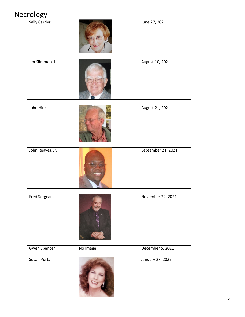# Necrology

| $\cdots$ ol          |          |                    |
|----------------------|----------|--------------------|
| Sally Carrier        |          | June 27, 2021      |
|                      |          |                    |
| Jim Slimmon, Jr.     |          | August 10, 2021    |
| John Hinks           |          | August 21, 2021    |
| John Reaves, Jr.     |          | September 21, 2021 |
| <b>Fred Sergeant</b> |          | November 22, 2021  |
| Gwen Spencer         | No Image | December 5, 2021   |
|                      |          |                    |
| Susan Porta          |          | January 27, 2022   |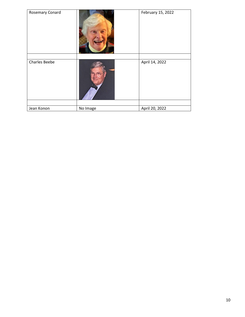| Rosemary Conard      |          | February 15, 2022 |
|----------------------|----------|-------------------|
|                      |          |                   |
| <b>Charles Beebe</b> |          | April 14, 2022    |
|                      |          |                   |
| Jean Konon           | No Image | April 20, 2022    |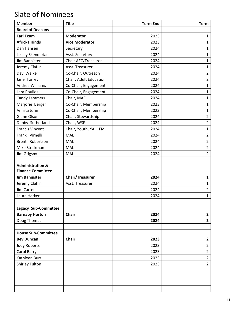# Slate of Nominees

| <b>Board of Deacons</b><br>2023<br><b>Earl Exum</b><br><b>Moderator</b><br>$\mathbf{1}$ |  |
|-----------------------------------------------------------------------------------------|--|
|                                                                                         |  |
|                                                                                         |  |
| <b>Africka Hinds</b><br><b>Vice Moderator</b><br>2023<br>$\mathbf{1}$                   |  |
| $\mathbf{1}$<br>2024<br>Dan Hansen<br>Secretary                                         |  |
| Lesley Skenderian<br>2024<br>Asst. Secretary<br>$\mathbf{1}$                            |  |
| Jim Bannister<br>Chair AFC/Treasurer<br>2024<br>$\mathbf{1}$                            |  |
| Jeremy Claflin<br>Asst. Treasurer<br>2024<br>$\mathbf{1}$                               |  |
| Dayl Walker<br>$\overline{2}$<br>Co-Chair, Outreach<br>2024                             |  |
| $\overline{2}$<br>Jane Torrey<br>Chair, Adult Education<br>2024                         |  |
| Andrea Williams<br>$\mathbf{1}$<br>Co-Chair, Engagement<br>2024                         |  |
| $\mathbf 1$<br>Lara Poulios<br>Co-Chair, Engagement<br>2024                             |  |
| Chair, MAC<br>2024<br><b>Candy Lammers</b><br>$\mathbf{1}$                              |  |
| Co-Chair, Membership<br>$\mathbf{1}$<br>Marjorie Berger<br>2023                         |  |
| Amrita John<br>Co-Chair, Membership<br>2023<br>$\mathbf{1}$                             |  |
| $\overline{2}$<br>Glenn Olson<br>Chair, Stewardship<br>2024                             |  |
| $\overline{2}$<br>Debby Sutherland<br>Chair, WSF<br>2024                                |  |
| <b>Francis Vincent</b><br>2024<br>$\mathbf 1$<br>Chair, Youth, YA, CFM                  |  |
| $\overline{2}$<br><b>MAL</b><br>Frank Virnelli<br>2024                                  |  |
| 2024<br>Brent Robertson<br>MAL<br>$\overline{2}$                                        |  |
| $\overline{2}$<br>Mike Stockman<br>2024<br>MAL                                          |  |
| $\overline{2}$<br>MAL<br>2024<br>Jim Grigsby                                            |  |
|                                                                                         |  |
| <b>Administration &amp;</b>                                                             |  |
| <b>Finance Committee</b>                                                                |  |
| <b>Jim Bannister</b><br><b>Chair/Treasurer</b><br>2024<br>$\mathbf{1}$                  |  |
| Jeremy Claflin<br>Asst. Treasurer<br>2024<br>$\mathbf{1}$                               |  |
| $\overline{2}$<br>Jim Carter<br>2024                                                    |  |
| $\mathbf{1}$<br>2024<br>Laura Harker                                                    |  |
|                                                                                         |  |
| <b>Legacy Sub-Committee</b>                                                             |  |
| Chair<br><b>Barnaby Horton</b><br>2024<br>$\mathbf{2}$                                  |  |
| Doug Thomas<br>2024<br>$\overline{2}$                                                   |  |
| <b>House Sub-Committee</b>                                                              |  |
| 2023<br><b>Bev Duncan</b><br><b>Chair</b><br>$\mathbf{2}$                               |  |
| $\overline{2}$<br>2023<br><b>Judy Roberts</b>                                           |  |
| $\overline{2}$<br>Carol Barry<br>2023                                                   |  |
| Kathleen Burr<br>$\overline{2}$<br>2023                                                 |  |
| Shirley Fulton<br>$\overline{2}$<br>2023                                                |  |
|                                                                                         |  |
|                                                                                         |  |
|                                                                                         |  |
|                                                                                         |  |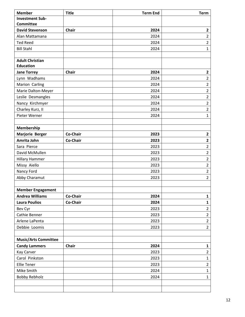| <b>Member</b>               | <b>Title</b> | <b>Term End</b> | <b>Term</b>             |
|-----------------------------|--------------|-----------------|-------------------------|
| <b>Investment Sub-</b>      |              |                 |                         |
| <b>Committee</b>            |              |                 |                         |
| <b>David Stevenson</b>      | Chair        | 2024            | $\mathbf{2}$            |
| Alan Mattamana              |              | 2024            | $\overline{2}$          |
| <b>Ted Reed</b>             |              | 2024            | $\overline{2}$          |
| <b>Bill Stahl</b>           |              | 2024            | $\mathbf{1}$            |
|                             |              |                 |                         |
| <b>Adult Christian</b>      |              |                 |                         |
| <b>Education</b>            |              |                 |                         |
| <b>Jane Torrey</b>          | Chair        | 2024            | $\mathbf{2}$            |
| Lynn Wadhams                |              | 2024            | $\overline{2}$          |
| Marion Carling              |              | 2024            | $\overline{2}$          |
| Marie Dalton-Meyer          |              | 2024            | $\overline{2}$          |
| Leslie Desmangles           |              | 2024            | $\overline{2}$          |
| Nancy Kirchmyer             |              | 2024            | $\overline{2}$          |
| Charley Kurz, II            |              | 2024            | $\overline{2}$          |
| Pieter Werner               |              | 2024            | $\mathbf{1}$            |
|                             |              |                 |                         |
| Membership                  |              |                 |                         |
| <b>Marjorie Berger</b>      | Co-Chair     | 2023            | $\mathbf{2}$            |
| Amrita John                 | Co-Chair     | 2023            | $\overline{\mathbf{2}}$ |
| Sara Pierce                 |              | 2023            | $\overline{2}$          |
| David McMullen              |              | 2023            | $\overline{2}$          |
| <b>Hillary Hammer</b>       |              | 2023            | $\overline{2}$          |
| Missy Aiello                |              | 2023            | $\overline{2}$          |
| Nancy Ford                  |              | 2023            | $\overline{2}$          |
| Abby Charamut               |              | 2023            | $\overline{2}$          |
|                             |              |                 |                         |
| <b>Member Engagement</b>    |              |                 |                         |
| <b>Andrea Williams</b>      | Co-Chair     | 2024            | $\mathbf{1}$            |
| <b>Laura Poulios</b>        | Co-Chair     | 2024            | $\mathbf{1}$            |
| Bev Cyr                     |              | 2023            | $\overline{2}$          |
| Cathie Benner               |              | 2023            | $\overline{2}$          |
| Arlene LaPenta              |              | 2023            | $\overline{2}$          |
| Debbie Loomis               |              | 2023            | $\overline{2}$          |
|                             |              |                 |                         |
| <b>Music/Arts Committee</b> |              |                 |                         |
| <b>Candy Lammers</b>        | Chair        | 2024            | $\mathbf{1}$            |
| Kay Carver                  |              | 2023            | $\overline{2}$          |
| Carol Pinkston              |              | 2023            | $\mathbf{1}$            |
| <b>Ellie Tener</b>          |              | 2023            | $\overline{2}$          |
| Mike Smith                  |              | 2024            | $\mathbf{1}$            |
| <b>Bobby Rebholz</b>        |              | 2024            | $\mathbf{1}$            |
|                             |              |                 |                         |
|                             |              |                 |                         |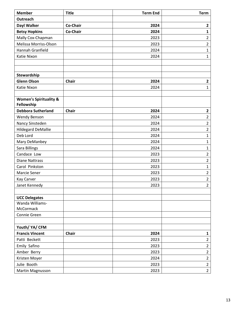| Outreach<br>Dayl Walker<br>Co-Chair<br>2024<br>$\mathbf{2}$<br><b>Betsy Hopkins</b><br>Co-Chair<br>$\mathbf{1}$<br>2024<br>Mally Cox-Chapman<br>$\mathbf 2$<br>2023<br>Melissa Morriss-Olson<br>2023<br>$\overline{2}$<br>$\mathbf{1}$<br>Hannah Granfield<br>2024<br>$\mathbf{1}$<br>Katie Nixon<br>2024<br>Stewardship<br><b>Glenn Olson</b><br>Chair<br>2024<br>$\mathbf{2}$<br>2024<br>Katie Nixon<br>$\mathbf{1}$<br><b>Women's Spirituality &amp;</b><br>Fellowship<br><b>Debbora Sutherland</b><br>2024<br><b>Chair</b><br>$\mathbf{2}$<br>$\overline{2}$<br><b>Wendy Benson</b><br>2024<br>$\overline{2}$<br>Nancy Sinsteden<br>2024<br>$\mathbf 2$<br><b>Hildegard DeMallie</b><br>2024<br>Deb Lord<br>$\mathbf{1}$<br>2024<br>$\mathbf 1$<br>Mary DeManbey<br>2024<br>Sara Billings<br>$\mathbf 1$<br>2024<br>Candace Low<br>$\mathbf 2$<br>2023<br>$\overline{2}$<br><b>Diane Nattrass</b><br>2023<br>Carol Pinkston<br>2023<br>$\mathbf 1$<br>$\mathbf 2$<br>Marcie Sener<br>2023<br>$\overline{2}$<br><b>Kay Carver</b><br>2023<br>$\overline{2}$<br>Janet Kennedy<br>2023<br><b>UCC Delegates</b><br>Wanda Williams-<br>McCormack<br>Connie Green<br>Youth/ YA/ CFM<br><b>Francis Vincent</b><br>Chair<br>2024<br>$\mathbf 1$<br>$\mathbf 2$<br>Patti Beckett<br>2023<br>$\overline{2}$<br>Emily Safino<br>2023<br>$\overline{2}$<br>Amber Berry<br>2023<br>$\overline{2}$<br>Kristen Moyer<br>2024<br>$\mathbf 2$<br>Julie Booth<br>2023 | <b>Member</b>    | <b>Title</b> | <b>Term End</b> | <b>Term</b>    |
|---------------------------------------------------------------------------------------------------------------------------------------------------------------------------------------------------------------------------------------------------------------------------------------------------------------------------------------------------------------------------------------------------------------------------------------------------------------------------------------------------------------------------------------------------------------------------------------------------------------------------------------------------------------------------------------------------------------------------------------------------------------------------------------------------------------------------------------------------------------------------------------------------------------------------------------------------------------------------------------------------------------------------------------------------------------------------------------------------------------------------------------------------------------------------------------------------------------------------------------------------------------------------------------------------------------------------------------------------------------------------------------------------------------------------------------------------------|------------------|--------------|-----------------|----------------|
|                                                                                                                                                                                                                                                                                                                                                                                                                                                                                                                                                                                                                                                                                                                                                                                                                                                                                                                                                                                                                                                                                                                                                                                                                                                                                                                                                                                                                                                         |                  |              |                 |                |
|                                                                                                                                                                                                                                                                                                                                                                                                                                                                                                                                                                                                                                                                                                                                                                                                                                                                                                                                                                                                                                                                                                                                                                                                                                                                                                                                                                                                                                                         |                  |              |                 |                |
|                                                                                                                                                                                                                                                                                                                                                                                                                                                                                                                                                                                                                                                                                                                                                                                                                                                                                                                                                                                                                                                                                                                                                                                                                                                                                                                                                                                                                                                         |                  |              |                 |                |
|                                                                                                                                                                                                                                                                                                                                                                                                                                                                                                                                                                                                                                                                                                                                                                                                                                                                                                                                                                                                                                                                                                                                                                                                                                                                                                                                                                                                                                                         |                  |              |                 |                |
|                                                                                                                                                                                                                                                                                                                                                                                                                                                                                                                                                                                                                                                                                                                                                                                                                                                                                                                                                                                                                                                                                                                                                                                                                                                                                                                                                                                                                                                         |                  |              |                 |                |
|                                                                                                                                                                                                                                                                                                                                                                                                                                                                                                                                                                                                                                                                                                                                                                                                                                                                                                                                                                                                                                                                                                                                                                                                                                                                                                                                                                                                                                                         |                  |              |                 |                |
|                                                                                                                                                                                                                                                                                                                                                                                                                                                                                                                                                                                                                                                                                                                                                                                                                                                                                                                                                                                                                                                                                                                                                                                                                                                                                                                                                                                                                                                         |                  |              |                 |                |
|                                                                                                                                                                                                                                                                                                                                                                                                                                                                                                                                                                                                                                                                                                                                                                                                                                                                                                                                                                                                                                                                                                                                                                                                                                                                                                                                                                                                                                                         |                  |              |                 |                |
|                                                                                                                                                                                                                                                                                                                                                                                                                                                                                                                                                                                                                                                                                                                                                                                                                                                                                                                                                                                                                                                                                                                                                                                                                                                                                                                                                                                                                                                         |                  |              |                 |                |
|                                                                                                                                                                                                                                                                                                                                                                                                                                                                                                                                                                                                                                                                                                                                                                                                                                                                                                                                                                                                                                                                                                                                                                                                                                                                                                                                                                                                                                                         |                  |              |                 |                |
|                                                                                                                                                                                                                                                                                                                                                                                                                                                                                                                                                                                                                                                                                                                                                                                                                                                                                                                                                                                                                                                                                                                                                                                                                                                                                                                                                                                                                                                         |                  |              |                 |                |
|                                                                                                                                                                                                                                                                                                                                                                                                                                                                                                                                                                                                                                                                                                                                                                                                                                                                                                                                                                                                                                                                                                                                                                                                                                                                                                                                                                                                                                                         |                  |              |                 |                |
|                                                                                                                                                                                                                                                                                                                                                                                                                                                                                                                                                                                                                                                                                                                                                                                                                                                                                                                                                                                                                                                                                                                                                                                                                                                                                                                                                                                                                                                         |                  |              |                 |                |
|                                                                                                                                                                                                                                                                                                                                                                                                                                                                                                                                                                                                                                                                                                                                                                                                                                                                                                                                                                                                                                                                                                                                                                                                                                                                                                                                                                                                                                                         |                  |              |                 |                |
|                                                                                                                                                                                                                                                                                                                                                                                                                                                                                                                                                                                                                                                                                                                                                                                                                                                                                                                                                                                                                                                                                                                                                                                                                                                                                                                                                                                                                                                         |                  |              |                 |                |
|                                                                                                                                                                                                                                                                                                                                                                                                                                                                                                                                                                                                                                                                                                                                                                                                                                                                                                                                                                                                                                                                                                                                                                                                                                                                                                                                                                                                                                                         |                  |              |                 |                |
|                                                                                                                                                                                                                                                                                                                                                                                                                                                                                                                                                                                                                                                                                                                                                                                                                                                                                                                                                                                                                                                                                                                                                                                                                                                                                                                                                                                                                                                         |                  |              |                 |                |
|                                                                                                                                                                                                                                                                                                                                                                                                                                                                                                                                                                                                                                                                                                                                                                                                                                                                                                                                                                                                                                                                                                                                                                                                                                                                                                                                                                                                                                                         |                  |              |                 |                |
|                                                                                                                                                                                                                                                                                                                                                                                                                                                                                                                                                                                                                                                                                                                                                                                                                                                                                                                                                                                                                                                                                                                                                                                                                                                                                                                                                                                                                                                         |                  |              |                 |                |
|                                                                                                                                                                                                                                                                                                                                                                                                                                                                                                                                                                                                                                                                                                                                                                                                                                                                                                                                                                                                                                                                                                                                                                                                                                                                                                                                                                                                                                                         |                  |              |                 |                |
|                                                                                                                                                                                                                                                                                                                                                                                                                                                                                                                                                                                                                                                                                                                                                                                                                                                                                                                                                                                                                                                                                                                                                                                                                                                                                                                                                                                                                                                         |                  |              |                 |                |
|                                                                                                                                                                                                                                                                                                                                                                                                                                                                                                                                                                                                                                                                                                                                                                                                                                                                                                                                                                                                                                                                                                                                                                                                                                                                                                                                                                                                                                                         |                  |              |                 |                |
|                                                                                                                                                                                                                                                                                                                                                                                                                                                                                                                                                                                                                                                                                                                                                                                                                                                                                                                                                                                                                                                                                                                                                                                                                                                                                                                                                                                                                                                         |                  |              |                 |                |
|                                                                                                                                                                                                                                                                                                                                                                                                                                                                                                                                                                                                                                                                                                                                                                                                                                                                                                                                                                                                                                                                                                                                                                                                                                                                                                                                                                                                                                                         |                  |              |                 |                |
|                                                                                                                                                                                                                                                                                                                                                                                                                                                                                                                                                                                                                                                                                                                                                                                                                                                                                                                                                                                                                                                                                                                                                                                                                                                                                                                                                                                                                                                         |                  |              |                 |                |
|                                                                                                                                                                                                                                                                                                                                                                                                                                                                                                                                                                                                                                                                                                                                                                                                                                                                                                                                                                                                                                                                                                                                                                                                                                                                                                                                                                                                                                                         |                  |              |                 |                |
|                                                                                                                                                                                                                                                                                                                                                                                                                                                                                                                                                                                                                                                                                                                                                                                                                                                                                                                                                                                                                                                                                                                                                                                                                                                                                                                                                                                                                                                         |                  |              |                 |                |
|                                                                                                                                                                                                                                                                                                                                                                                                                                                                                                                                                                                                                                                                                                                                                                                                                                                                                                                                                                                                                                                                                                                                                                                                                                                                                                                                                                                                                                                         |                  |              |                 |                |
|                                                                                                                                                                                                                                                                                                                                                                                                                                                                                                                                                                                                                                                                                                                                                                                                                                                                                                                                                                                                                                                                                                                                                                                                                                                                                                                                                                                                                                                         |                  |              |                 |                |
|                                                                                                                                                                                                                                                                                                                                                                                                                                                                                                                                                                                                                                                                                                                                                                                                                                                                                                                                                                                                                                                                                                                                                                                                                                                                                                                                                                                                                                                         |                  |              |                 |                |
|                                                                                                                                                                                                                                                                                                                                                                                                                                                                                                                                                                                                                                                                                                                                                                                                                                                                                                                                                                                                                                                                                                                                                                                                                                                                                                                                                                                                                                                         |                  |              |                 |                |
|                                                                                                                                                                                                                                                                                                                                                                                                                                                                                                                                                                                                                                                                                                                                                                                                                                                                                                                                                                                                                                                                                                                                                                                                                                                                                                                                                                                                                                                         |                  |              |                 |                |
|                                                                                                                                                                                                                                                                                                                                                                                                                                                                                                                                                                                                                                                                                                                                                                                                                                                                                                                                                                                                                                                                                                                                                                                                                                                                                                                                                                                                                                                         |                  |              |                 |                |
|                                                                                                                                                                                                                                                                                                                                                                                                                                                                                                                                                                                                                                                                                                                                                                                                                                                                                                                                                                                                                                                                                                                                                                                                                                                                                                                                                                                                                                                         |                  |              |                 |                |
|                                                                                                                                                                                                                                                                                                                                                                                                                                                                                                                                                                                                                                                                                                                                                                                                                                                                                                                                                                                                                                                                                                                                                                                                                                                                                                                                                                                                                                                         |                  |              |                 |                |
|                                                                                                                                                                                                                                                                                                                                                                                                                                                                                                                                                                                                                                                                                                                                                                                                                                                                                                                                                                                                                                                                                                                                                                                                                                                                                                                                                                                                                                                         |                  |              |                 |                |
|                                                                                                                                                                                                                                                                                                                                                                                                                                                                                                                                                                                                                                                                                                                                                                                                                                                                                                                                                                                                                                                                                                                                                                                                                                                                                                                                                                                                                                                         |                  |              |                 |                |
|                                                                                                                                                                                                                                                                                                                                                                                                                                                                                                                                                                                                                                                                                                                                                                                                                                                                                                                                                                                                                                                                                                                                                                                                                                                                                                                                                                                                                                                         |                  |              |                 |                |
|                                                                                                                                                                                                                                                                                                                                                                                                                                                                                                                                                                                                                                                                                                                                                                                                                                                                                                                                                                                                                                                                                                                                                                                                                                                                                                                                                                                                                                                         |                  |              |                 |                |
|                                                                                                                                                                                                                                                                                                                                                                                                                                                                                                                                                                                                                                                                                                                                                                                                                                                                                                                                                                                                                                                                                                                                                                                                                                                                                                                                                                                                                                                         |                  |              |                 |                |
|                                                                                                                                                                                                                                                                                                                                                                                                                                                                                                                                                                                                                                                                                                                                                                                                                                                                                                                                                                                                                                                                                                                                                                                                                                                                                                                                                                                                                                                         | Martin Magnusson |              | 2023            | $\overline{2}$ |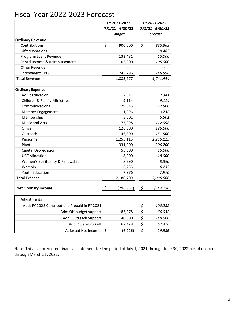### Fiscal Year 2022-2023 Forecast

|                                               | FY 2021-2022     | FY 2021-2022                        |
|-----------------------------------------------|------------------|-------------------------------------|
|                                               | 7/1/21 - 6/30/22 | 7/1/21 - 6/30/22                    |
|                                               | <b>Budget</b>    | <b>Forecast</b>                     |
| <b>Ordinary Revenue</b>                       |                  |                                     |
| Contributions                                 | \$<br>900,000    | \$<br>835,363                       |
| Gifts/Donations                               |                  | 39,483                              |
| Program/Event Revenue                         | 133,481          | 15,000                              |
| Rental Income & Reimbursement                 | 105,000          | 105,000                             |
| Other Revenue                                 |                  |                                     |
| <b>Endowment Draw</b>                         | 745,296          | 746,598                             |
| <b>Total Revenue</b>                          | 1,883,777        | 1,741,444                           |
| <b>Ordinary Expense</b>                       |                  |                                     |
| <b>Adult Education</b>                        | 2,341            | 2,341                               |
| Children & Family Ministries                  | 9,114            | 9,114                               |
| Communications                                | 29,545           | 17,500                              |
| Member Engagement                             | 1,996            | 3,732                               |
| Membership                                    | 5,501            | 5,501                               |
| Music and Arts                                | 177,998          | 112,998                             |
| Office                                        | 126,000          | 126,000                             |
| Outreach                                      | 146,300          | 151,500                             |
| Personnel                                     | 1,255,115        | 1,255,115                           |
| Plant                                         | 331,200          | 306,200                             |
| Capital Depreciation                          | 55,000           | 55,000                              |
| <b>UCC Allocation</b>                         | 18,000           | 18,000                              |
| Women's Spirituality & Fellowship             | 8,390            | 8,390                               |
| Worship                                       | 6,233            | 6,233                               |
| Youth Education                               | 7,976            | 7,976                               |
| <b>Total Expense</b>                          | 2,180,709        | 2,085,600                           |
| <b>Net Ordinary Income</b>                    | \$<br>(296, 932) | \$<br>(344, 156)                    |
|                                               |                  |                                     |
| Adjustments                                   |                  |                                     |
| Add: FY 2022 Contributions Prepaid in FY 2021 |                  | \$<br>100,282                       |
| Add: Off-budget support                       | 83,278           | \$<br>66,032                        |
| Add: Outreach Support                         | 140,000          | \$<br>140,000                       |
| Add: Operating Gift                           | 67,428           | $\zeta$<br>67,428                   |
| Adjusted Net Income                           | \$<br>(6, 226)   | $\boldsymbol{\mathsf{S}}$<br>29,586 |

Note: This is a forecasted financial statement for the period of July 1, 2021 through June 30, 2022 based on actuals through March 31, 2022.